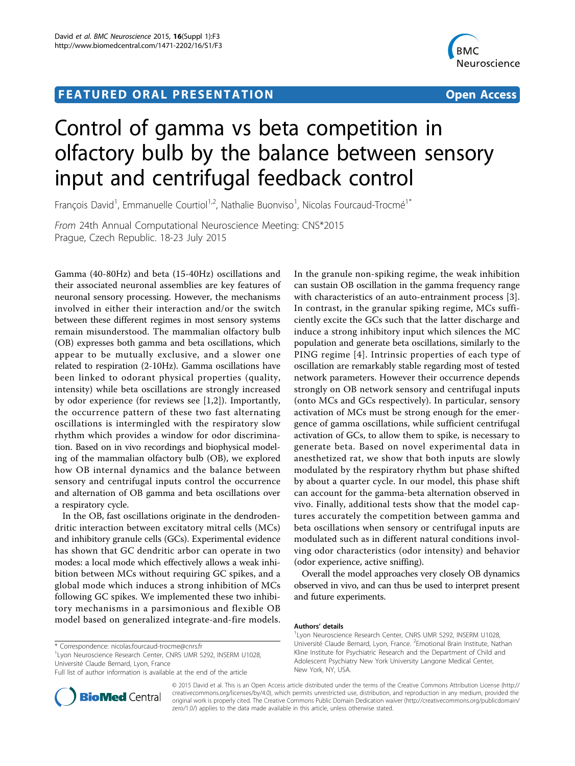## **FEATURED ORAL PRESENTATION COPEN ACCESS**



# Control of gamma vs beta competition in olfactory bulb by the balance between sensory input and centrifugal feedback control

François David<sup>1</sup>, Emmanuelle Courtiol<sup>1,2</sup>, Nathalie Buonviso<sup>1</sup>, Nicolas Fourcaud-Trocmé<sup>1\*</sup>

From 24th Annual Computational Neuroscience Meeting: CNS\*2015 Prague, Czech Republic. 18-23 July 2015

Gamma (40-80Hz) and beta (15-40Hz) oscillations and their associated neuronal assemblies are key features of neuronal sensory processing. However, the mechanisms involved in either their interaction and/or the switch between these different regimes in most sensory systems remain misunderstood. The mammalian olfactory bulb (OB) expresses both gamma and beta oscillations, which appear to be mutually exclusive, and a slower one related to respiration (2-10Hz). Gamma oscillations have been linked to odorant physical properties (quality, intensity) while beta oscillations are strongly increased by odor experience (for reviews see [[1,2](#page-1-0)]). Importantly, the occurrence pattern of these two fast alternating oscillations is intermingled with the respiratory slow rhythm which provides a window for odor discrimination. Based on in vivo recordings and biophysical modeling of the mammalian olfactory bulb (OB), we explored how OB internal dynamics and the balance between sensory and centrifugal inputs control the occurrence and alternation of OB gamma and beta oscillations over a respiratory cycle.

In the OB, fast oscillations originate in the dendrodendritic interaction between excitatory mitral cells (MCs) and inhibitory granule cells (GCs). Experimental evidence has shown that GC dendritic arbor can operate in two modes: a local mode which effectively allows a weak inhibition between MCs without requiring GC spikes, and a global mode which induces a strong inhibition of MCs following GC spikes. We implemented these two inhibitory mechanisms in a parsimonious and flexible OB model based on generalized integrate-and-fire models.

\* Correspondence: [nicolas.fourcaud-trocme@cnrs.fr](mailto:nicolas.fourcaud-trocme@cnrs.fr)

<sup>1</sup> Lyon Neuroscience Research Center, CNRS UMR 5292, INSERM U1028, Université Claude Bernard, Lyon, France

can sustain OB oscillation in the gamma frequency range with characteristics of an auto-entrainment process [[3](#page-1-0)]. In contrast, in the granular spiking regime, MCs sufficiently excite the GCs such that the latter discharge and induce a strong inhibitory input which silences the MC population and generate beta oscillations, similarly to the PING regime [[4](#page-1-0)]. Intrinsic properties of each type of oscillation are remarkably stable regarding most of tested network parameters. However their occurrence depends strongly on OB network sensory and centrifugal inputs (onto MCs and GCs respectively). In particular, sensory activation of MCs must be strong enough for the emergence of gamma oscillations, while sufficient centrifugal activation of GCs, to allow them to spike, is necessary to generate beta. Based on novel experimental data in anesthetized rat, we show that both inputs are slowly modulated by the respiratory rhythm but phase shifted by about a quarter cycle. In our model, this phase shift can account for the gamma-beta alternation observed in vivo. Finally, additional tests show that the model captures accurately the competition between gamma and beta oscillations when sensory or centrifugal inputs are modulated such as in different natural conditions involving odor characteristics (odor intensity) and behavior (odor experience, active sniffing).

In the granule non-spiking regime, the weak inhibition

Overall the model approaches very closely OB dynamics observed in vivo, and can thus be used to interpret present and future experiments.

Authors' details <sup>1</sup>

<sup>1</sup> Lyon Neuroscience Research Center, CNRS UMR 5292, INSERM U1028, Université Claude Bernard, Lyon, France. <sup>2</sup> Emotional Brain Institute, Nathan Kline Institute for Psychiatric Research and the Department of Child and Adolescent Psychiatry New York University Langone Medical Center, New York, NY, USA.



© 2015 David et al. This is an Open Access article distributed under the terms of the Creative Commons Attribution License [\(http://](http://creativecommons.org/licenses/by/4.0) [creativecommons.org/licenses/by/4.0](http://creativecommons.org/licenses/by/4.0)), which permits unrestricted use, distribution, and reproduction in any medium, provided the original work is properly cited. The Creative Commons Public Domain Dedication waiver ([http://creativecommons.org/publicdomain/](http://creativecommons.org/publicdomain/zero/1.0/) [zero/1.0/](http://creativecommons.org/publicdomain/zero/1.0/)) applies to the data made available in this article, unless otherwise stated.

Full list of author information is available at the end of the article